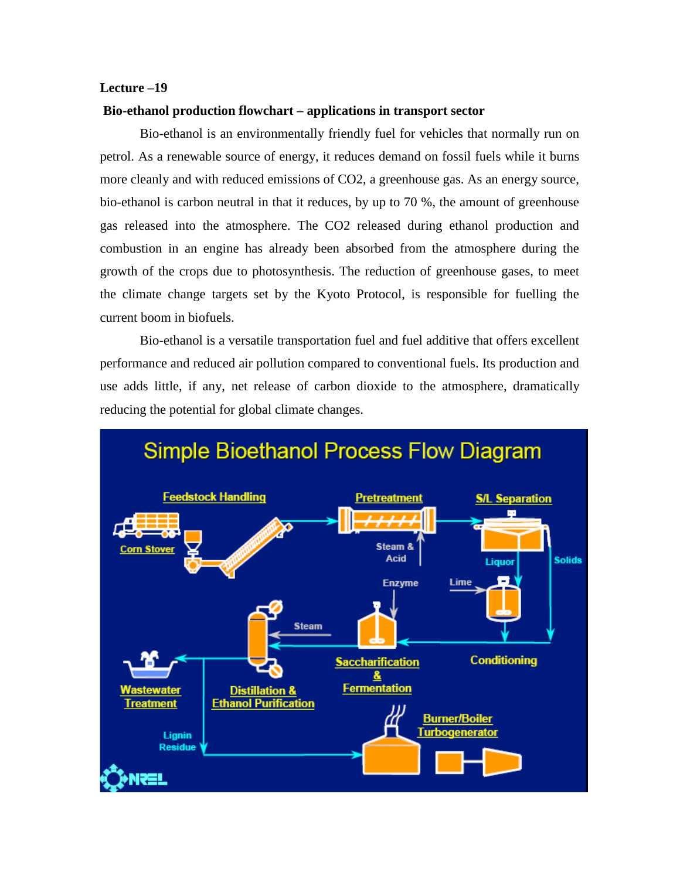# **Lecture –19**

#### **Bio-ethanol production flowchart – applications in transport sector**

Bio-ethanol is an environmentally friendly fuel for vehicles that normally run on petrol. As a renewable source of energy, it reduces demand on fossil fuels while it burns more cleanly and with reduced emissions of CO2, a greenhouse gas. As an energy source, bio-ethanol is carbon neutral in that it reduces, by up to 70 %, the amount of greenhouse gas released into the atmosphere. The CO2 released during ethanol production and combustion in an engine has already been absorbed from the atmosphere during the growth of the crops due to photosynthesis. The reduction of greenhouse gases, to meet the climate change targets set by the Kyoto Protocol, is responsible for fuelling the current boom in biofuels.

Bio-ethanol is a versatile transportation fuel and fuel additive that offers excellent performance and reduced air pollution compared to conventional fuels. Its production and use adds little, if any, net release of carbon dioxide to the atmosphere, dramatically reducing the potential for global climate changes.

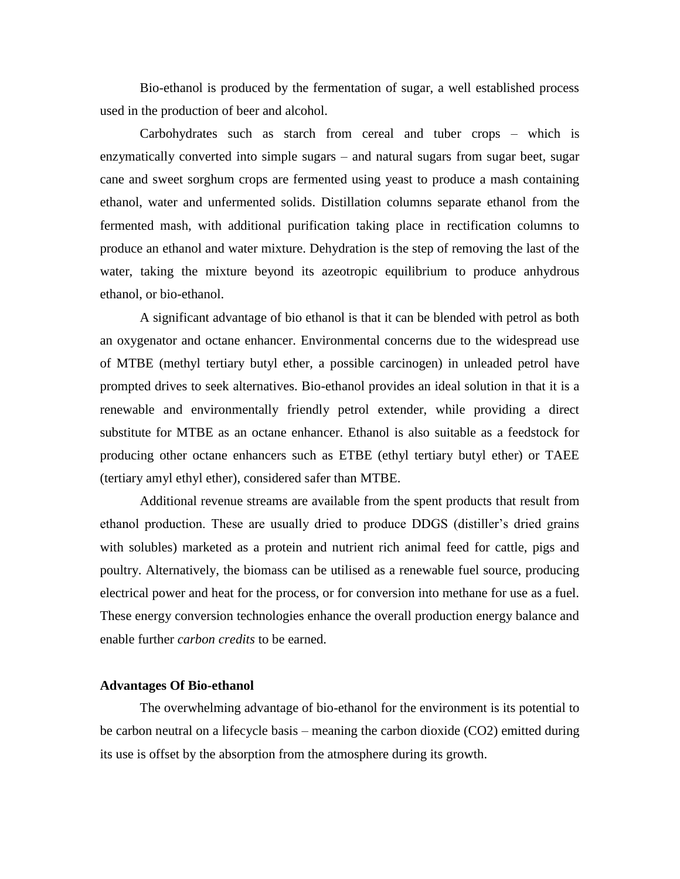Bio-ethanol is produced by the fermentation of sugar, a well established process used in the production of beer and alcohol.

Carbohydrates such as starch from cereal and tuber crops – which is enzymatically converted into simple sugars – and natural sugars from sugar beet, sugar cane and sweet sorghum crops are fermented using yeast to produce a mash containing ethanol, water and unfermented solids. Distillation columns separate ethanol from the fermented mash, with additional purification taking place in rectification columns to produce an ethanol and water mixture. Dehydration is the step of removing the last of the water, taking the mixture beyond its azeotropic equilibrium to produce anhydrous ethanol, or bio-ethanol.

A significant advantage of bio ethanol is that it can be blended with petrol as both an oxygenator and octane enhancer. Environmental concerns due to the widespread use of MTBE (methyl tertiary butyl ether, a possible carcinogen) in unleaded petrol have prompted drives to seek alternatives. Bio-ethanol provides an ideal solution in that it is a renewable and environmentally friendly petrol extender, while providing a direct substitute for MTBE as an octane enhancer. Ethanol is also suitable as a feedstock for producing other octane enhancers such as ETBE (ethyl tertiary butyl ether) or TAEE (tertiary amyl ethyl ether), considered safer than MTBE.

Additional revenue streams are available from the spent products that result from ethanol production. These are usually dried to produce DDGS (distiller's dried grains with solubles) marketed as a protein and nutrient rich animal feed for cattle, pigs and poultry. Alternatively, the biomass can be utilised as a renewable fuel source, producing electrical power and heat for the process, or for conversion into methane for use as a fuel. These energy conversion technologies enhance the overall production energy balance and enable further *carbon credits* to be earned.

### **Advantages Of Bio-ethanol**

The overwhelming advantage of bio-ethanol for the environment is its potential to be carbon neutral on a lifecycle basis – meaning the carbon dioxide (CO2) emitted during its use is offset by the absorption from the atmosphere during its growth.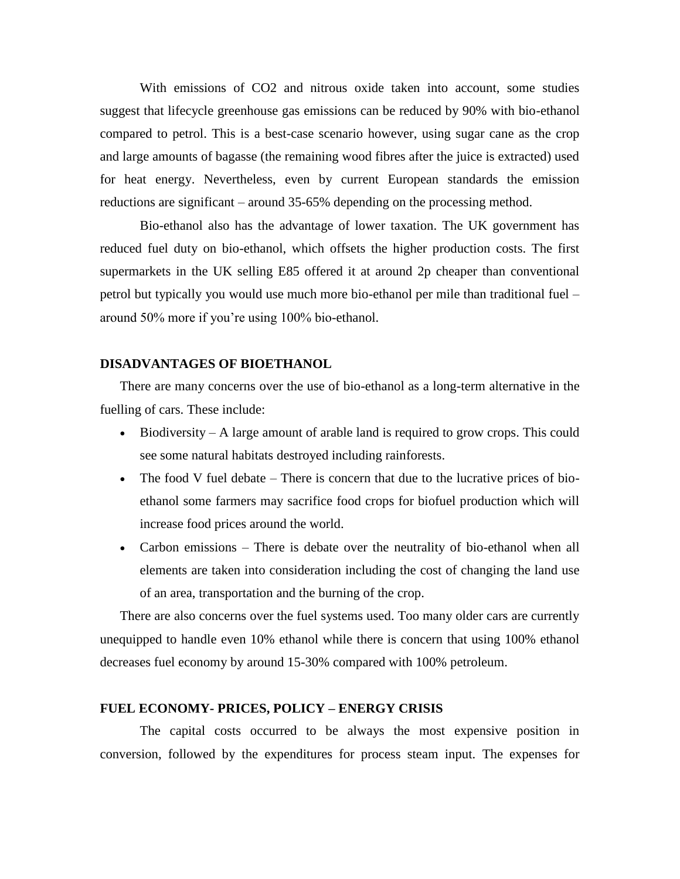With emissions of CO2 and nitrous oxide taken into account, some studies suggest that lifecycle greenhouse gas emissions can be reduced by 90% with bio-ethanol compared to petrol. This is a best-case scenario however, using sugar cane as the crop and large amounts of bagasse (the remaining wood fibres after the juice is extracted) used for heat energy. Nevertheless, even by current European standards the emission reductions are significant – around 35-65% depending on the processing method.

Bio-ethanol also has the advantage of lower taxation. The UK government has reduced fuel duty on bio-ethanol, which offsets the higher production costs. The first supermarkets in the UK selling E85 offered it at around 2p cheaper than conventional petrol but typically you would use much more bio-ethanol per mile than traditional fuel – around 50% more if you're using 100% bio-ethanol.

### **DISADVANTAGES OF BIOETHANOL**

There are many concerns over the use of bio-ethanol as a long-term alternative in the fuelling of cars. These include:

- Biodiversity A large amount of arable land is required to grow crops. This could see some natural habitats destroyed including rainforests.
- The food V fuel debate There is concern that due to the lucrative prices of bioethanol some farmers may sacrifice food crops for biofuel production which will increase food prices around the world.
- Carbon emissions There is debate over the neutrality of bio-ethanol when all elements are taken into consideration including the cost of changing the land use of an area, transportation and the burning of the crop.

There are also concerns over the fuel systems used. Too many older cars are currently unequipped to handle even 10% ethanol while there is concern that using 100% ethanol decreases fuel economy by around 15-30% compared with 100% petroleum.

# **FUEL ECONOMY- PRICES, POLICY – ENERGY CRISIS**

The capital costs occurred to be always the most expensive position in conversion, followed by the expenditures for process steam input. The expenses for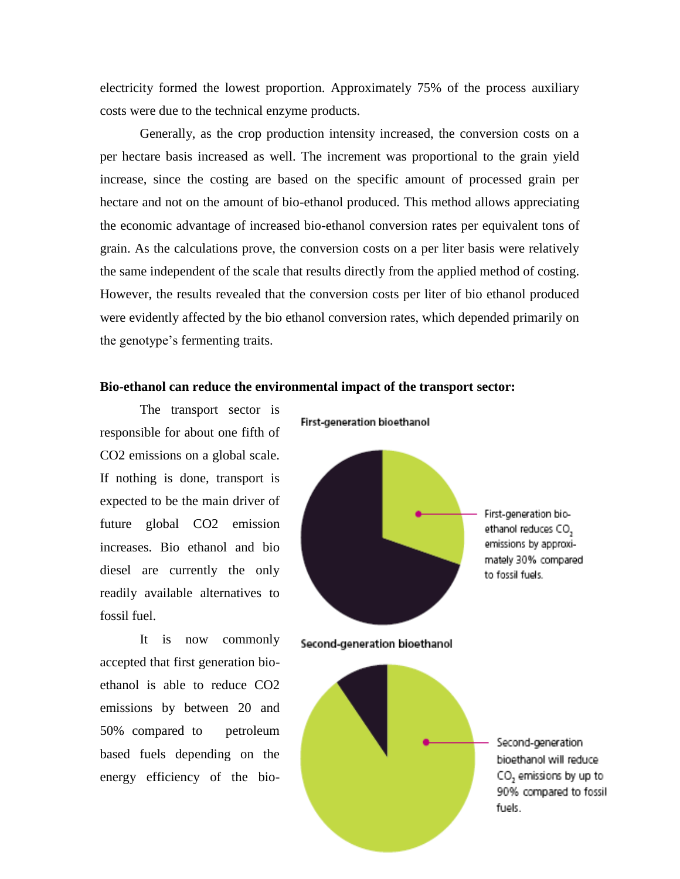electricity formed the lowest proportion. Approximately 75% of the process auxiliary costs were due to the technical enzyme products.

Generally, as the crop production intensity increased, the conversion costs on a per hectare basis increased as well. The increment was proportional to the grain yield increase, since the costing are based on the specific amount of processed grain per hectare and not on the amount of bio-ethanol produced. This method allows appreciating the economic advantage of increased bio-ethanol conversion rates per equivalent tons of grain. As the calculations prove, the conversion costs on a per liter basis were relatively the same independent of the scale that results directly from the applied method of costing. However, the results revealed that the conversion costs per liter of bio ethanol produced were evidently affected by the bio ethanol conversion rates, which depended primarily on the genotype's fermenting traits.

# **Bio-ethanol can reduce the environmental impact of the transport sector:**

The transport sector is responsible for about one fifth of CO2 emissions on a global scale. If nothing is done, transport is expected to be the main driver of future global CO2 emission increases. Bio ethanol and bio diesel are currently the only readily available alternatives to fossil fuel.

It is now commonly accepted that first generation bioethanol is able to reduce CO2 emissions by between 20 and 50% compared to petroleum based fuels depending on the energy efficiency of the bioFirst-generation bioethanol



Second-generation bioethanol

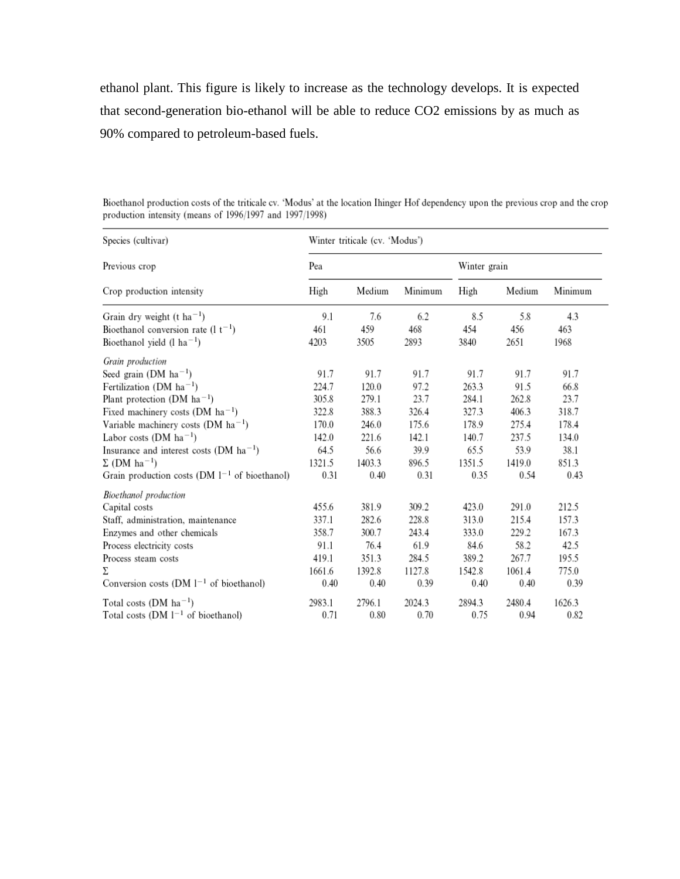ethanol plant. This figure is likely to increase as the technology develops. It is expected that second-generation bio-ethanol will be able to reduce CO2 emissions by as much as 90% compared to petroleum-based fuels.

| Species (cultivar)<br>Previous crop<br>Crop production intensity | Winter triticale (cv. 'Modus') |        |         |              |        |         |
|------------------------------------------------------------------|--------------------------------|--------|---------|--------------|--------|---------|
|                                                                  | Pea                            |        |         | Winter grain |        |         |
|                                                                  | High                           | Medium | Minimum | High         | Medium | Minimum |
| Grain dry weight (t ha <sup>-1</sup> )                           | 9.1                            | 7.6    | 6.2     | 8.5          | 5.8    | 4.3     |
| Bioethanol conversion rate $(1 t^{-1})$                          | 461                            | 459    | 468     | 454          | 456    | 463     |
| Bioethanol yield $(l \text{ ha}^{-1})$                           | 4203                           | 3505   | 2893    | 3840         | 2651   | 1968    |
| Grain production                                                 |                                |        |         |              |        |         |
| Seed grain (DM $ha^{-1}$ )                                       | 91.7                           | 91.7   | 91.7    | 91.7         | 91.7   | 91.7    |
| Fertilization (DM $ha^{-1}$ )                                    | 224.7                          | 120.0  | 97.2    | 263.3        | 91.5   | 66.8    |
| Plant protection (DM ha <sup>-1</sup> )                          | 305.8                          | 279.1  | 23.7    | 284.1        | 262.8  | 23.7    |
| Fixed machinery costs (DM $ha^{-1}$ )                            | 322.8                          | 388.3  | 326.4   | 327.3        | 406.3  | 318.7   |
| Variable machinery costs (DM $ha^{-1}$ )                         | 170.0                          | 246.0  | 175.6   | 178.9        | 275.4  | 178.4   |
| Labor costs $(DM ha^{-1})$                                       | 142.0                          | 221.6  | 142.1   | 140.7        | 237.5  | 134.0   |
| Insurance and interest costs (DM $ha^{-1}$ )                     | 64.5                           | 56.6   | 39.9    | 65.5         | 53.9   | 38.1    |
| $\Sigma$ (DM ha <sup>-1</sup> )                                  | 1321.5                         | 1403.3 | 896.5   | 1351.5       | 1419.0 | 851.3   |
| Grain production costs (DM $1^{-1}$ of bioethanol)               | 0.31                           | 0.40   | 0.31    | 0.35         | 0.54   | 0.43    |
| Bioethanol production                                            |                                |        |         |              |        |         |
| Capital costs                                                    | 455.6                          | 381.9  | 309.2   | 423.0        | 291.0  | 212.5   |
| Staff, administration, maintenance                               | 337.1                          | 282.6  | 228.8   | 313.0        | 215.4  | 157.3   |
| Enzymes and other chemicals                                      | 358.7                          | 300.7  | 243.4   | 333.0        | 229.2  | 167.3   |
| Process electricity costs                                        | 91.1                           | 76.4   | 61.9    | 84.6         | 58.2   | 42.5    |
| Process steam costs                                              | 419.1                          | 351.3  | 284.5   | 389.2        | 267.7  | 195.5   |
| Σ                                                                | 1661.6                         | 1392.8 | 1127.8  | 1542.8       | 1061.4 | 775.0   |
| Conversion costs (DM $l^{-1}$ of bioethanol)                     | 0.40                           | 0.40   | 0.39    | 0.40         | 0.40   | 0.39    |
| Total costs (DM $ha^{-1}$ )                                      | 2983.1                         | 2796.1 | 2024.3  | 2894.3       | 2480.4 | 1626.3  |
| Total costs (DM $1^{-1}$ of bioethanol)                          | 0.71                           | 0.80   | 0.70    | 0.75         | 0.94   | 0.82    |

Bioethanol production costs of the triticale cv. 'Modus' at the location Ihinger Hof dependency upon the previous crop and the crop production intensity (means of 1996/1997 and 1997/1998)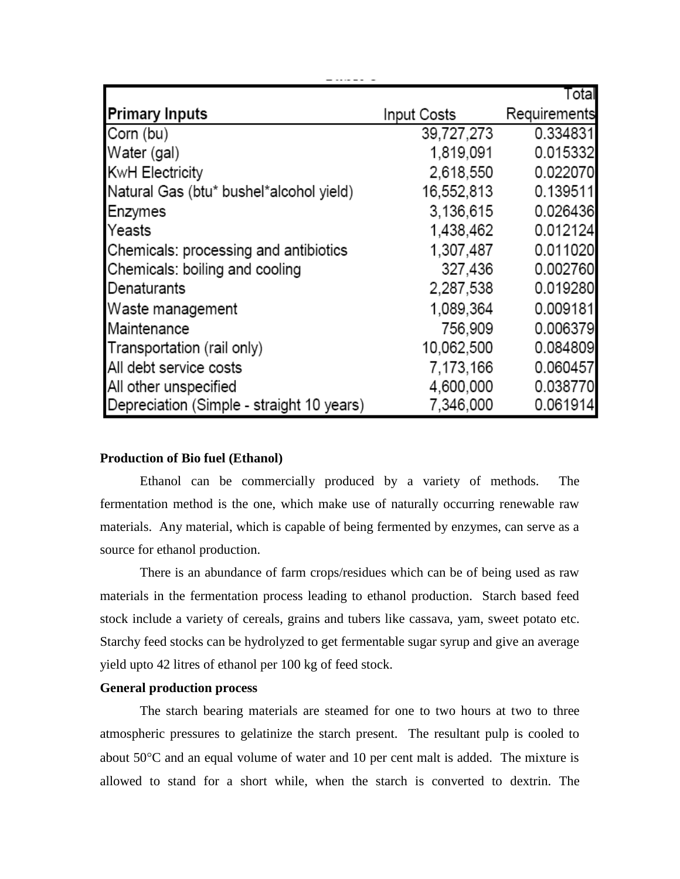|                                           |             | Total        |
|-------------------------------------------|-------------|--------------|
| <b>Primary Inputs</b>                     | Input Costs | Requirements |
| Corn (bu)                                 | 39,727,273  | 0.334831     |
| Water (gal)                               | 1,819,091   | 0.015332     |
| <b>KwH Electricity</b>                    | 2,618,550   | 0.022070     |
| Natural Gas (btu* bushel*alcohol yield)   | 16,552,813  | 0.139511     |
| Enzymes                                   | 3,136,615   | 0.026436     |
| Yeasts                                    | 1,438,462   | 0.012124     |
| Chemicals: processing and antibiotics     | 1,307,487   | 0.011020     |
| Chemicals: boiling and cooling            | 327,436     | 0.002760     |
| Denaturants                               | 2,287,538   | 0.019280     |
| Waste management                          | 1,089,364   | 0.009181     |
| Maintenance                               | 756,909     | 0.006379     |
| Transportation (rail only)                | 10,062,500  | 0.084809     |
| All debt service costs                    | 7,173,166   | 0.060457     |
| All other unspecified                     | 4,600,000   | 0.038770     |
| Depreciation (Simple - straight 10 years) | 7,346,000   | 0.061914     |

# **Production of Bio fuel (Ethanol)**

Ethanol can be commercially produced by a variety of methods. The fermentation method is the one, which make use of naturally occurring renewable raw materials. Any material, which is capable of being fermented by enzymes, can serve as a source for ethanol production.

There is an abundance of farm crops/residues which can be of being used as raw materials in the fermentation process leading to ethanol production. Starch based feed stock include a variety of cereals, grains and tubers like cassava, yam, sweet potato etc. Starchy feed stocks can be hydrolyzed to get fermentable sugar syrup and give an average yield upto 42 litres of ethanol per 100 kg of feed stock.

### **General production process**

The starch bearing materials are steamed for one to two hours at two to three atmospheric pressures to gelatinize the starch present. The resultant pulp is cooled to about  $50^{\circ}$ C and an equal volume of water and 10 per cent malt is added. The mixture is allowed to stand for a short while, when the starch is converted to dextrin. The